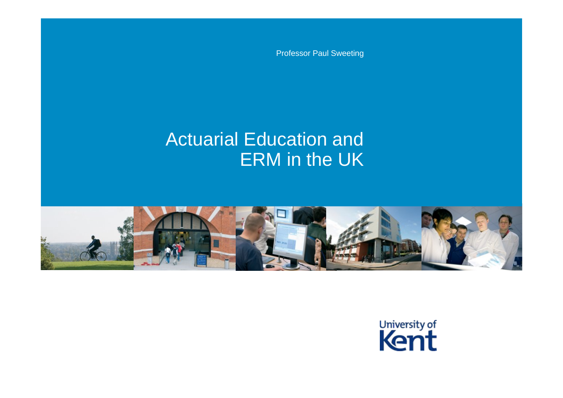Professor Paul Sweeting

#### Actuarial Education and ERM in the UK



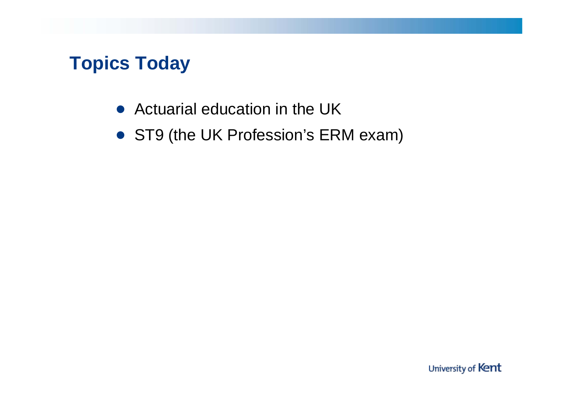## **Topics Today**

- Actuarial education in the UK
- ST9 (the UK Profession's ERM exam)

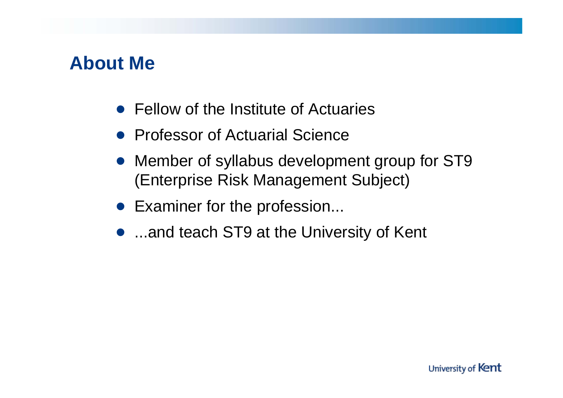#### **About Me**

- Fellow of the Institute of Actuaries
- Professor of Actuarial Science
- Member of syllabus development group for ST9 (Enterprise Risk Management Subject)
- Examiner for the profession...
- ...and teach ST9 at the University of Kent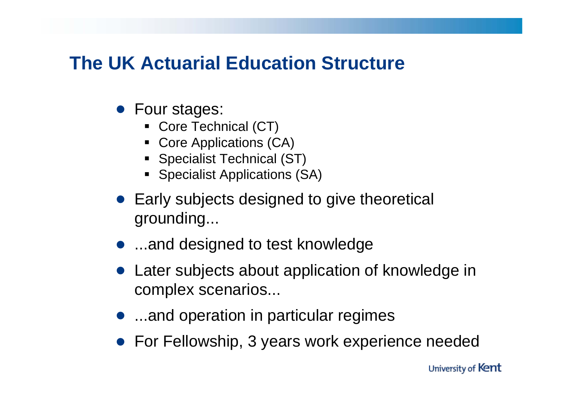## **The UK Actuarial Education Structure**

- Four stages:
	- Core Technical (CT)
	- Core Applications (CA)
	- Specialist Technical (ST)
	- **Specialist Applications (SA)**
- Early subjects designed to give theoretical grounding...
- ...and designed to test knowledge
- Later subjects about application of knowledge in complex scenarios...
- ...and operation in particular regimes
- **For Fellowship, 3 years work experience needed**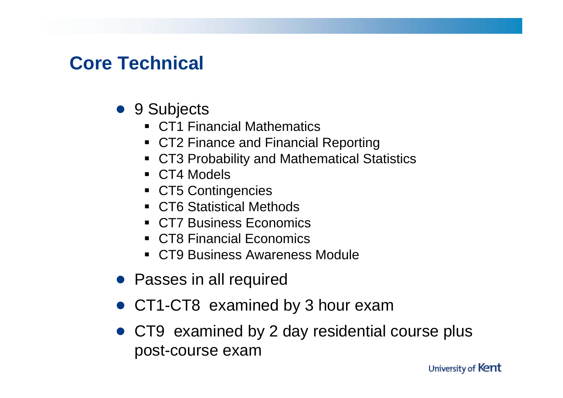## **Core Technical**

- 9 Subjects
	- CT1 Financial Mathematics
	- CT2 Finance and Financial Reporting
	- CT3 Probability and Mathematical Statistics
	- CT4 Models
	- CT5 Contingencies
	- CT6 Statistical Methods
	- CT7 Business Economics
	- CT8 Financial Economics
	- CT9 Business Awareness Module
- Passes in all required
- CT1-CT8 examined by 3 hour exam
- CT9 examined by 2 day residential course plus post-course exam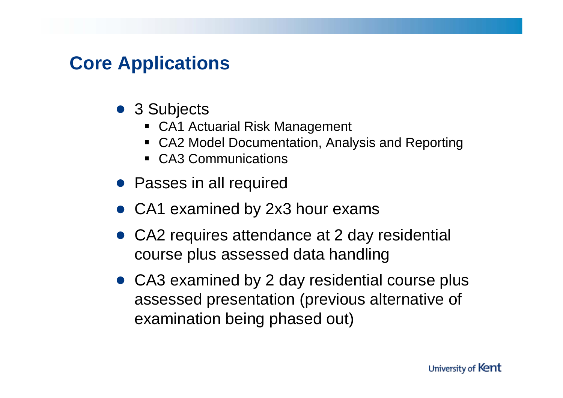### **Core Applications**

- 3 Subjects
	- CA1 Actuarial Risk Management
	- CA2 Model Documentation, Analysis and Reporting
	- CA3 Communications
- Passes in all required
- CA1 examined by 2x3 hour exams
- CA2 requires attendance at 2 day residential course plus assessed data handling
- CA3 examined by 2 day residential course plus assessed presentation (previous alternative of examination being phased out)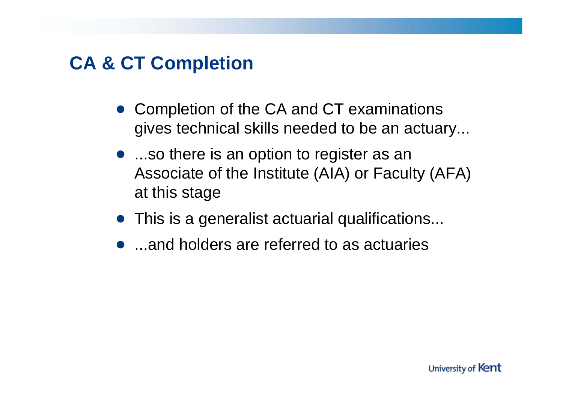### **CA & CT Completion**

- Completion of the CA and CT examinations gives technical skills needed to be an actuary...
- ...so there is an option to register as an Associate of the Institute (AIA) or Faculty (AFA) at this stage
- This is a generalist actuarial qualifications...
- ...and holders are referred to as actuaries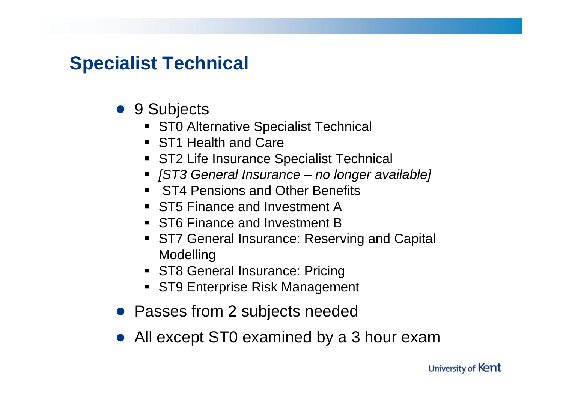## **Specialist Technical**

- 9 Subjects
	- **ST0 Alternative Specialist Technical**
	- ST1 Health and Care
	- ST2 Life Insurance Specialist Technical
	- *[ST3 General Insurance no longer available]*
	- **ST4 Pensions and Other Benefits**
	- ST5 Finance and Investment A
	- ST6 Finance and Investment B
	- **ST7 General Insurance: Reserving and Capital** Modelling
	- **ST8 General Insurance: Pricing**
	- ST9 Enterprise Risk Management
- Passes from 2 subjects needed
- All except ST0 examined by a 3 hour exam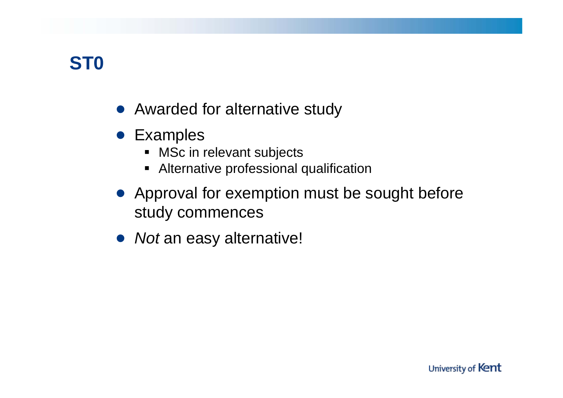# **ST0**

- Awarded for alternative study
- Examples
	- MSc in relevant subjects
	- Alternative professional qualification
- Approval for exemption must be sought before study commences
- *Not* an easy alternative!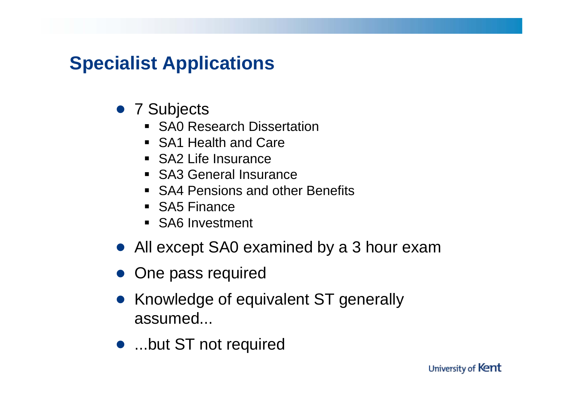# **Specialist Applications**

- 7 Subjects
	- **SA0 Research Dissertation**
	- SA1 Health and Care
	- SA2 Life Insurance
	- SA3 General Insurance
	- **SA4 Pensions and other Benefits**
	- SA5 Finance
	- SA6 Investment
- All except SA0 examined by a 3 hour exam
- One pass required
- Knowledge of equivalent ST generally assumed...
- ...but ST not required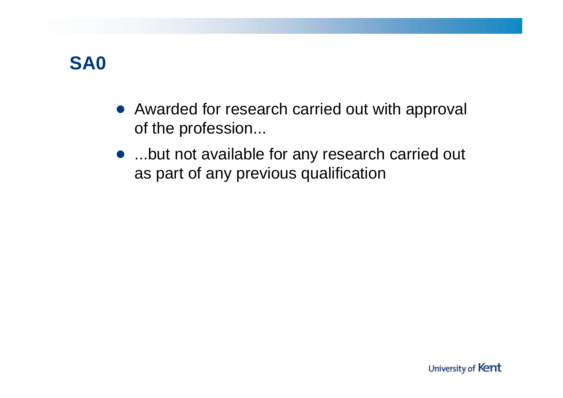

- Awarded for research carried out with approval of the profession...
- ...but not available for any research carried out as part of any previous qualification

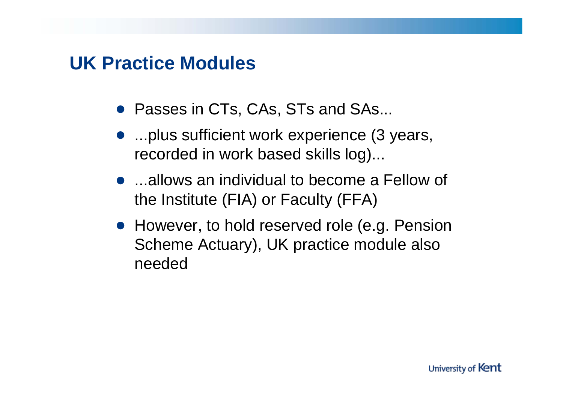#### **UK Practice Modules**

- Passes in CTs, CAs, STs and SAs...
- ...plus sufficient work experience (3 years, recorded in work based skills log)...
- ...allows an individual to become a Fellow of the Institute (FIA) or Faculty (FFA)
- However, to hold reserved role (e.g. Pension Scheme Actuary), UK practice module also needed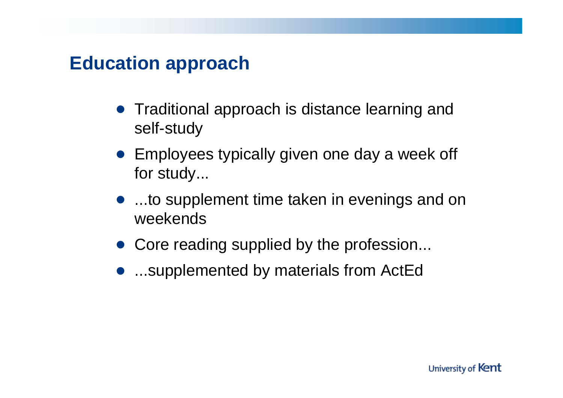#### **Education approach**

- Traditional approach is distance learning and self-study
- Employees typically given one day a week off for study...
- ...to supplement time taken in evenings and on weekends
- Core reading supplied by the profession...
- ...supplemented by materials from ActEd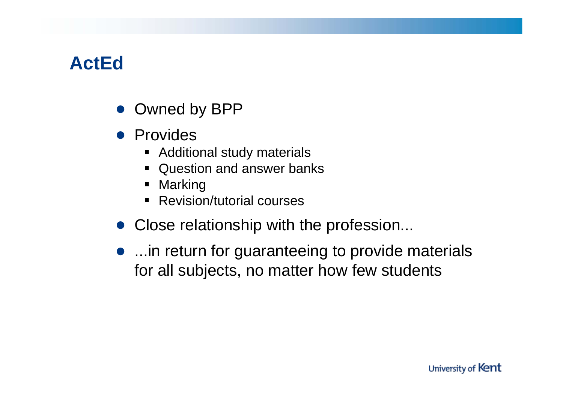## **ActEd**

- Owned by BPP
- Provides
	- **EXADDE Additional study materials**
	- Question and answer banks
	- Marking
	- Revision/tutorial courses
- Close relationship with the profession...
- ... in return for guaranteeing to provide materials for all subjects, no matter how few students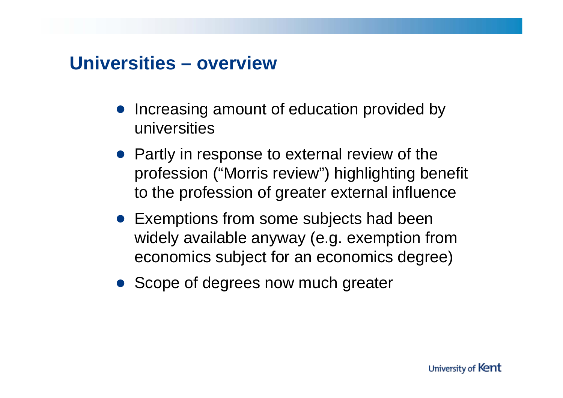#### **Universities – overview**

- Increasing amount of education provided by universities
- Partly in response to external review of the profession ("Morris review") highlighting benefit to the profession of greater external influence
- Exemptions from some subjects had been widely available anyway (e.g. exemption from economics subject for an economics degree)
- Scope of degrees now much greater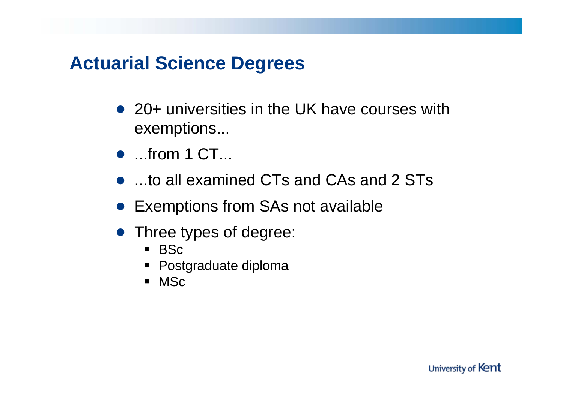### **Actuarial Science Degrees**

- 20+ universities in the UK have courses with exemptions...
- $\bullet$  ...from 1 CT...
- ...to all examined CTs and CAs and 2 STs
- Exemptions from SAs not available
- Three types of degree:
	- BSc
	- Postgraduate diploma
	- MSc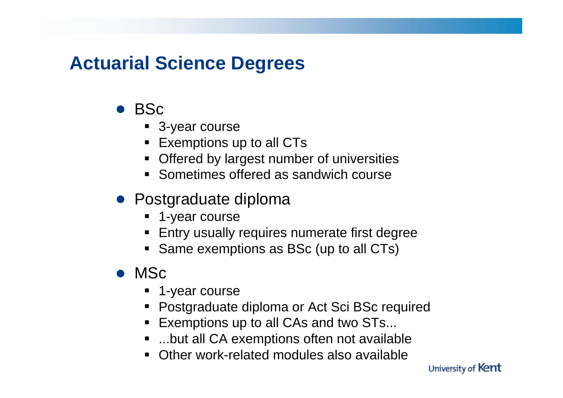## **Actuarial Science Degrees**

- BSc
	- 3-year course
	- Exemptions up to all CTs
	- **Offered by largest number of universities**
	- Sometimes offered as sandwich course
- Postgraduate diploma
	- 1-year course
	- **Entry usually requires numerate first degree**
	- Same exemptions as BSc (up to all CTs)
- MSc
	- 1-year course
	- Postgraduate diploma or Act Sci BSc required
	- Exemptions up to all CAs and two STs...
	- ...but all CA exemptions often not available
	- $\blacksquare$ Other work-related modules also available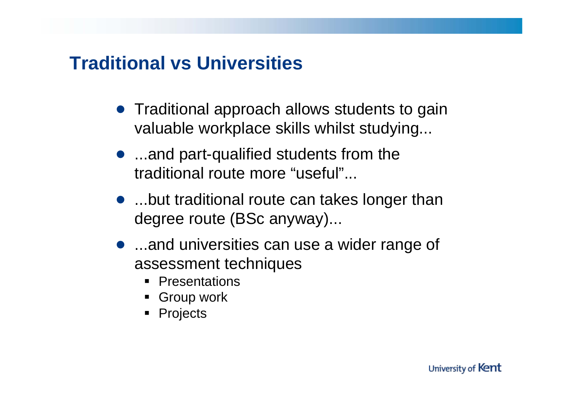### **Traditional vs Universities**

- Traditional approach allows students to gain valuable workplace skills whilst studying...
- ...and part-qualified students from the traditional route more "useful"...
- ...but traditional route can takes longer than degree route (BSc anyway)...
- ...and universities can use a wider range of assessment techniques
	- Presentations
	- **Group work**
	- Projects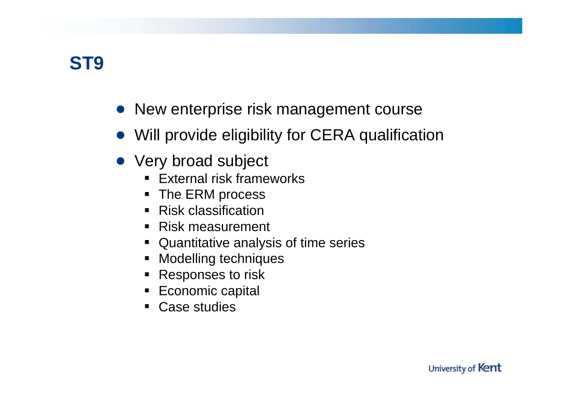

- New enterprise risk management course
- Will provide eligibility for CERA qualification
- Very broad subject
	- External risk frameworks
	- The ERM process
	- $\blacksquare$  Risk classification
	- Risk measurement
	- Quantitative analysis of time series
	- Modelling techniques
	- Responses to risk
	- $\textcolor{red}{\bullet}$  Economic capital
	- Case studies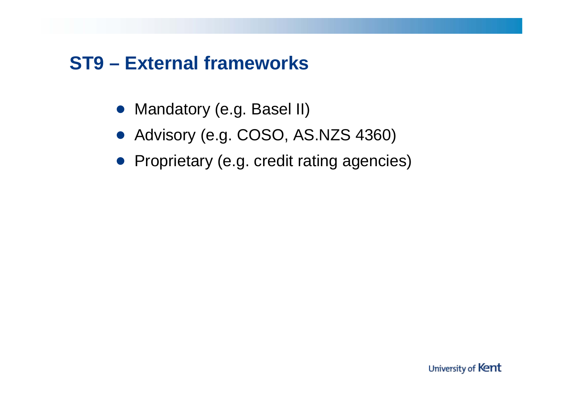### **ST9 – External frameworks**

- Mandatory (e.g. Basel II)
- Advisory (e.g. COSO, AS.NZS 4360)
- Proprietary (e.g. credit rating agencies)

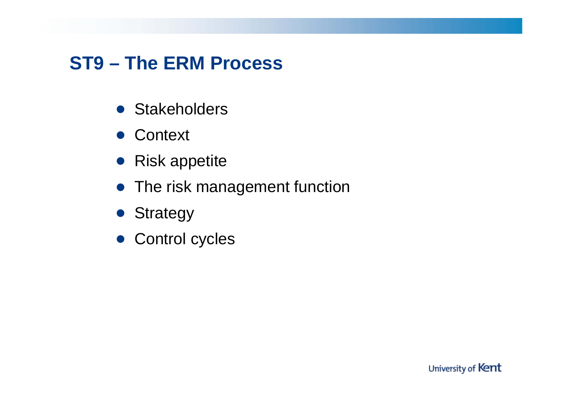# **ST9 – The ERM Process**

- **Stakeholders**
- Context
- Risk appetite
- The risk management function

- Strategy
- Control cycles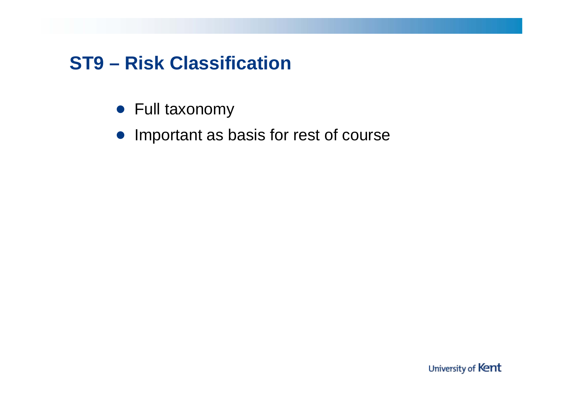## **ST9 – Risk Classification**

- Full taxonomy
- Important as basis for rest of course

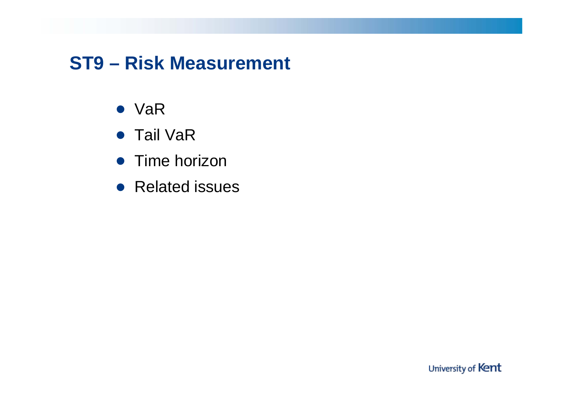## **ST9 – Risk Measurement**

- VaR
- Tail VaR
- **Time horizon**
- Related issues

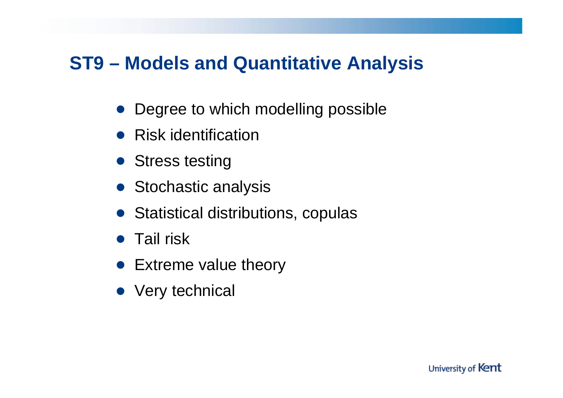### **ST9 – Models and Quantitative Analysis**

- Degree to which modelling possible
- Risk identification
- Stress testing
- Stochastic analysis
- Statistical distributions, copulas

- **Tail risk**
- Extreme value theory
- Very technical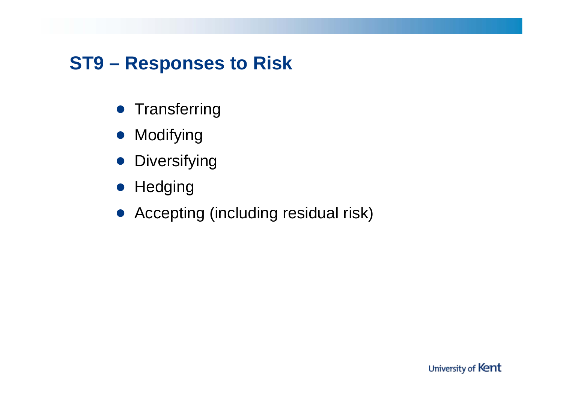## **ST9 – Responses to Risk**

- **Transferring**
- Modifying
- **•** Diversifying
- Hedging
- Accepting (including residual risk)

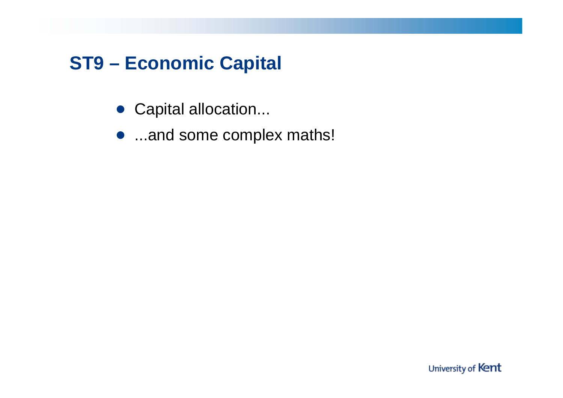# **ST9 – Economic Capital**

- Capital allocation...
- ...and some complex maths!

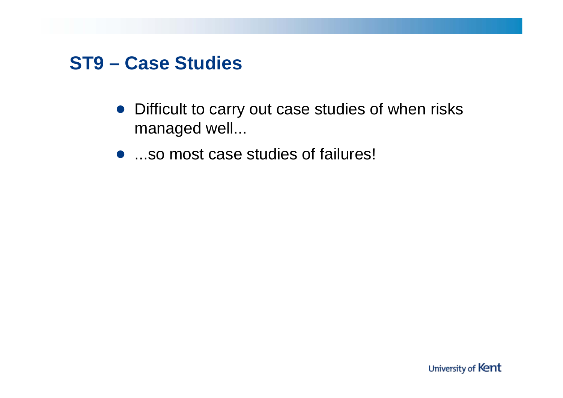#### **ST9 – Case Studies**

- Difficult to carry out case studies of when risks managed well...
- ...so most case studies of failures!

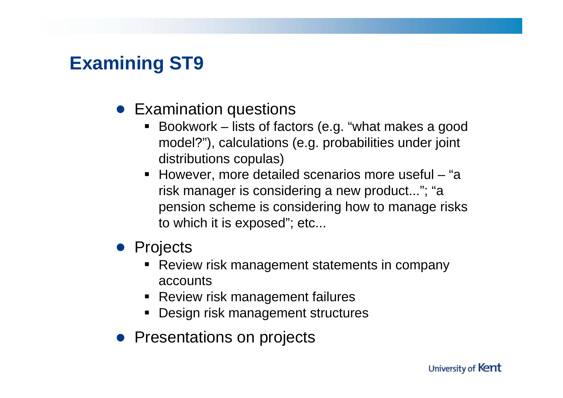## **Examining ST9**

#### • Examination questions

- Bookwork lists of factors (e.g. "what makes a good model?"), calculations (e.g. probabilities under joint distributions copulas)
- However, more detailed scenarios more useful "a risk manager is considering a new product..."; "a pension scheme is considering how to manage risks to which it is exposed"; etc...

#### ● Projects

- Review risk management statements in company accounts
- Review risk management failures
- Design risk management structures
- Presentations on projects